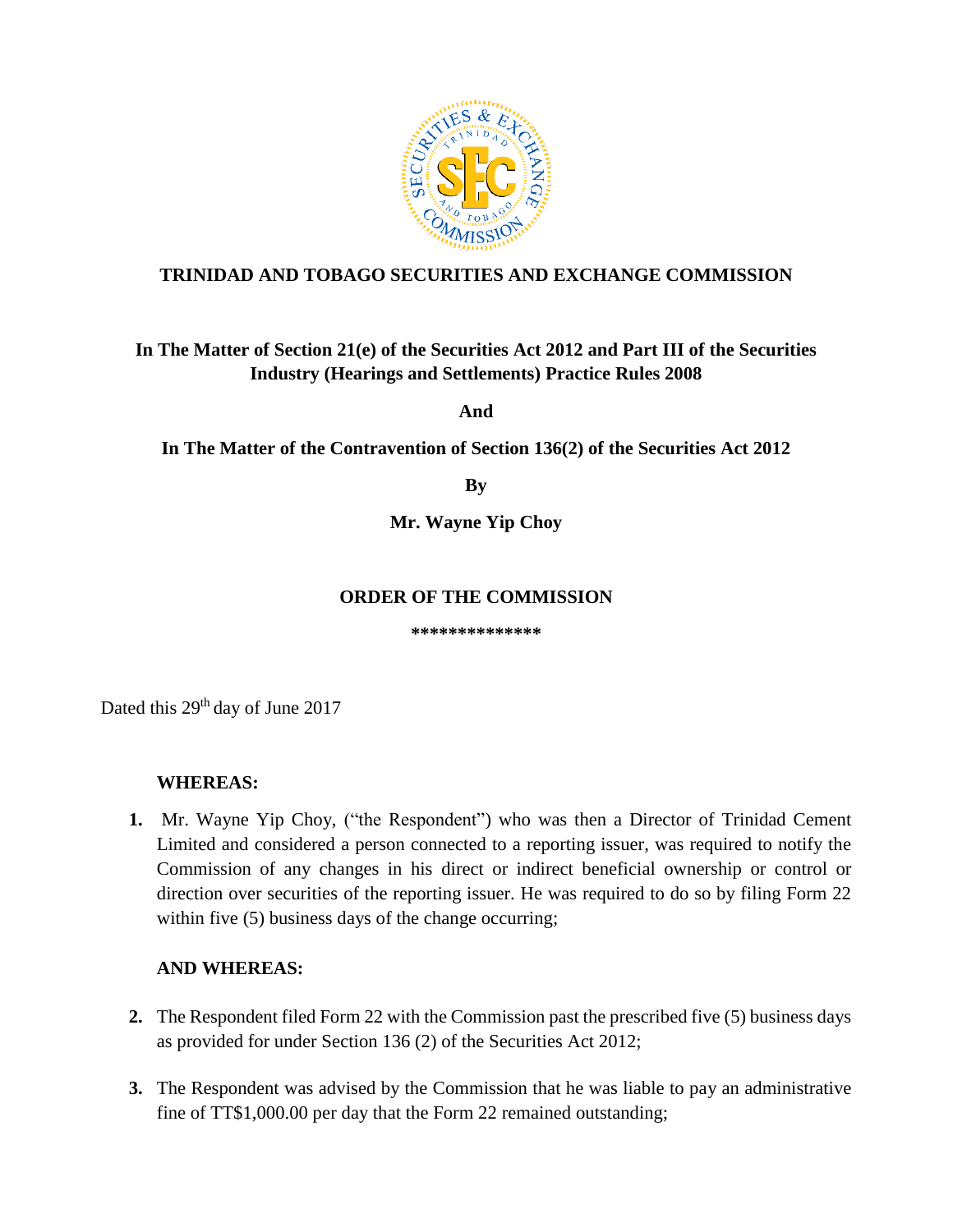

## **TRINIDAD AND TOBAGO SECURITIES AND EXCHANGE COMMISSION**

# **In The Matter of Section 21(e) of the Securities Act 2012 and Part III of the Securities Industry (Hearings and Settlements) Practice Rules 2008**

**And**

**In The Matter of the Contravention of Section 136(2) of the Securities Act 2012**

**By**

**Mr. Wayne Yip Choy**

#### **ORDER OF THE COMMISSION**

**\*\*\*\*\*\*\*\*\*\*\*\*\*\***

Dated this 29<sup>th</sup> day of June 2017

### **WHEREAS:**

**1.** Mr. Wayne Yip Choy, ("the Respondent") who was then a Director of Trinidad Cement Limited and considered a person connected to a reporting issuer, was required to notify the Commission of any changes in his direct or indirect beneficial ownership or control or direction over securities of the reporting issuer. He was required to do so by filing Form 22 within five (5) business days of the change occurring;

### **AND WHEREAS:**

- **2.** The Respondent filed Form 22 with the Commission past the prescribed five (5) business days as provided for under Section 136 (2) of the Securities Act 2012;
- **3.** The Respondent was advised by the Commission that he was liable to pay an administrative fine of TT\$1,000.00 per day that the Form 22 remained outstanding;